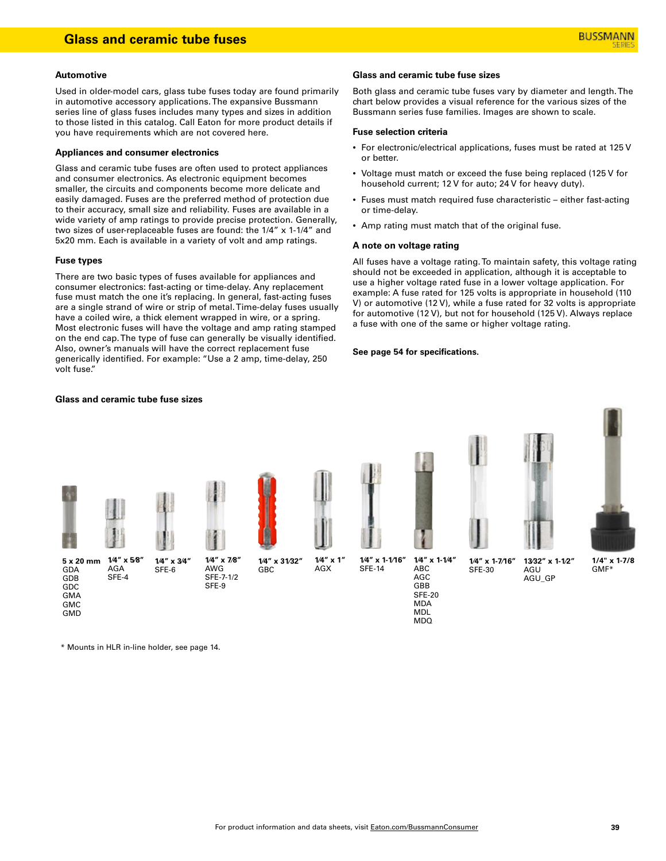#### **Automotive**

Used in older-model cars, glass tube fuses today are found primarily in automotive accessory applications. The expansive Bussmann series line of glass fuses includes many types and sizes in addition to those listed in this catalog. Call Eaton for more product details if you have requirements which are not covered here.

#### **Appliances and consumer electronics**

Glass and ceramic tube fuses are often used to protect appliances and consumer electronics. As electronic equipment becomes smaller, the circuits and components become more delicate and easily damaged. Fuses are the preferred method of protection due to their accuracy, small size and reliability. Fuses are available in a wide variety of amp ratings to provide precise protection. Generally, two sizes of user-replaceable fuses are found: the 1/4" x 1-1/4" and 5x20 mm. Each is available in a variety of volt and amp ratings.

#### **Fuse types**

There are two basic types of fuses available for appliances and consumer electronics: fast-acting or time-delay. Any replacement fuse must match the one it's replacing. In general, fast-acting fuses are a single strand of wire or strip of metal. Time-delay fuses usually have a coiled wire, a thick element wrapped in wire, or a spring. Most electronic fuses will have the voltage and amp rating stamped on the end cap. The type of fuse can generally be visually identified. Also, owner's manuals will have the correct replacement fuse generically identified. For example: "Use a 2 amp, time-delay, 250 volt fuse."

#### **Glass and ceramic tube fuse sizes**

#### **Glass and ceramic tube fuse sizes**

Both glass and ceramic tube fuses vary by diameter and length. The chart below provides a visual reference for the various sizes of the Bussmann series fuse families. Images are shown to scale.

#### **Fuse selection criteria**

- For electronic/electrical applications, fuses must be rated at 125 V or better.
- Voltage must match or exceed the fuse being replaced (125 V for household current; 12 V for auto; 24 V for heavy duty).
- Fuses must match required fuse characteristic either fast-acting or time-delay.
- Amp rating must match that of the original fuse.

#### **A note on voltage rating**

All fuses have a voltage rating. To maintain safety, this voltage rating should not be exceeded in application, although it is acceptable to use a higher voltage rated fuse in a lower voltage application. For example: A fuse rated for 125 volts is appropriate in household (110 V) or automotive (12 V), while a fuse rated for 32 volts is appropriate for automotive (12 V), but not for household (125 V). Always replace a fuse with one of the same or higher voltage rating.

#### **See page 54 for specifications.**



\* Mounts in HLR in-line holder, see page 14.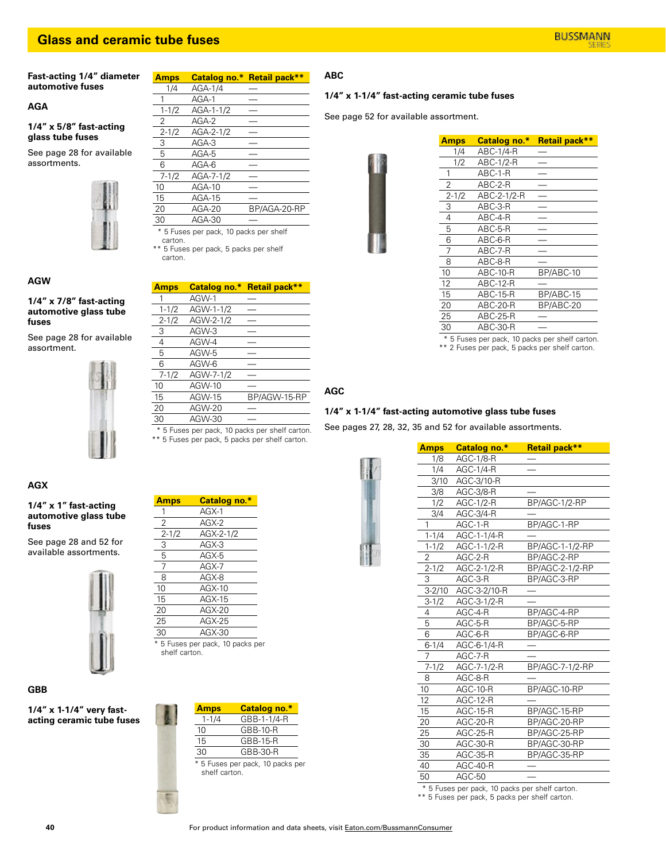## **Glass and ceramic tube fuses**

**Fast-acting 1/4" diameter automotive fuses**

### **AGA**

**1/4" x 5/8" fast-acting glass tube fuses**

See page 28 for available assortments.



## **AGW**

**1/4" x 7/8" fast-acting automotive glass tube fuses**

See page 28 for available assortment.



# **AGX**

**1/4" x 1" fast-acting automotive glass tube fuses**

See page 28 and 52 for available assortments.



## **1/4" x 1-1/4" very fastacting ceramic tube fuses**

| Amps                                   |           | Catalog no.* Retail pack** |
|----------------------------------------|-----------|----------------------------|
| 1/4                                    | AGA-1/4   |                            |
| 1                                      | $AGA-1$   |                            |
| $1 - 1/2$                              | AGA-1-1/2 |                            |
| 2                                      | $AGA-2$   |                            |
| $2 - 1/2$                              | AGA-2-1/2 |                            |
| 3                                      | $AGA-3$   |                            |
| 5                                      | AGA-5     |                            |
| 6                                      | AGA-6     |                            |
| $7 - 1/2$                              | AGA-7-1/2 |                            |
| 10                                     | $AGA-10$  |                            |
| 15                                     | $AGA-15$  |                            |
| 20                                     | $AGA-20$  | BP/AGA-20-RP               |
| 30                                     | AGA-30    |                            |
| * 5 Fuses per pack, 10 packs per shelf |           |                            |

carton.

\*\* 5 Fuses per pack, 5 packs per shelf carton.

| <b>Amps</b> | <b>Catalog no.*</b>                       | Retail pack** |
|-------------|-------------------------------------------|---------------|
| 1           | AGW-1                                     |               |
| $1 - 1/2$   | AGW-1-1/2                                 |               |
| $2 - 1/2$   | AGW-2-1/2                                 |               |
| 3           | AGW-3                                     |               |
| 4           | AGW-4                                     |               |
| 5           | AGW-5                                     |               |
| 6           | AGW-6                                     |               |
| $7 - 1/2$   | AGW-7-1/2                                 |               |
| 10          | AGW-10                                    |               |
| 15          | AGW-15                                    | BP/AGW-15-RP  |
| 20          | AGW-20                                    |               |
| 30          | AGW-30                                    |               |
| $ -$        | $\sim$ $\sim$ $\sim$ $\sim$ $\sim$ $\sim$ | $\cdots$      |

5 Fuses per pack, 10 packs per shelf carton. \*\* 5 Fuses per pack, 5 packs per shelf carton.

**Amps Catalog no.\*** 1 AGX-1 2 AGX-2<br>2-1/2 AGX-2

3 AGX-3<br>5 AGX-5  $AGX-5$ 

7 AGX-7 8 AGX-8 10 AGX-10

2-1/2 AGX-2-1/2

### **1/4" x 1-1/4" fast-acting ceramic tube fuses**

See page 52 for available assortment.



| Amps      | Catalog no.* | <b>Retail pack**</b> |
|-----------|--------------|----------------------|
| 1/4       | ABC-1/4-R    |                      |
| 1/2       | ABC-1/2-R    |                      |
| 1         | $ABC-1-R$    |                      |
| 2         | $ABC-2-R$    |                      |
| $2 - 1/2$ | ABC-2-1/2-R  |                      |
| 3         | $ABC-3-R$    |                      |
| 4         | ABC-4-R      |                      |
| 5         | ABC-5-R      |                      |
| 6         | ABC-6-R      |                      |
| 7         | $ABC-7-R$    |                      |
| 8         | $ABC-8-R$    |                      |
| 10        | ABC-10-R     | BP/ABC-10            |
| 12        | $ABC-12-R$   |                      |
| 15        | ABC-15-R     | BP/ABC-15            |
| 20        | ABC-20-R     | BP/ABC-20            |
| 25        | $ABC-25-R$   |                      |
| 30        | ABC-30-R     |                      |

\* 5 Fuses per pack, 10 packs per shelf carton.

\*\* 2 Fuses per pack, 5 packs per shelf carton.

# **AGC**

## **1/4" x 1-1/4" fast-acting automotive glass tube fuses**

See pages 27, 28, 32, 35 and 52 for available assortments.

| <b>Amps</b> | Catalog no.*    | Retail pack**   |
|-------------|-----------------|-----------------|
| 1/8         | AGC-1/8-R       |                 |
| 1/4         | AGC-1/4-R       |                 |
| 3/10        | AGC-3/10-R      |                 |
| 3/8         | AGC-3/8-R       |                 |
| 1/2         | AGC-1/2-R       | BP/AGC-1/2-RP   |
| 3/4         | AGC-3/4-R       |                 |
| 1           | AGC-1-R         | BP/AGC-1-RP     |
| $1 - 1/4$   | AGC-1-1/4-R     |                 |
| $1 - 1/2$   | AGC-1-1/2-R     | BP/AGC-1-1/2-RP |
| 2           | AGC-2-R         | BP/AGC-2-RP     |
| $2 - 1/2$   | AGC-2-1/2-R     | BP/AGC-2-1/2-RP |
| 3           | AGC-3-R         | BP/AGC-3-RP     |
| 3-2/10      | AGC-3-2/10-R    |                 |
| $3 - 1/2$   | AGC-3-1/2-R     |                 |
| 4           | AGC-4-R         | BP/AGC-4-RP     |
| 5           | AGC-5-R         | BP/AGC-5-RP     |
| 6           | AGC-6-R         | BP/AGC-6-RP     |
| $6 - 1/4$   | AGC-6-1/4-R     |                 |
| 7           | AGC-7-R         |                 |
| $7 - 1/2$   | AGC-7-1/2-R     | BP/AGC-7-1/2-RP |
| 8           | AGC-8-R         |                 |
| 10          | <b>AGC-10-R</b> | BP/AGC-10-RP    |
| 12          | <b>AGC-12-R</b> |                 |
| 15          | AGC-15-R        | BP/AGC-15-RP    |
| 20          | AGC-20-R        | BP/AGC-20-RP    |
| 25          | AGC-25-R        | BP/AGC-25-RP    |
| 30          | AGC-30-R        | BP/AGC-30-RP    |
| 35          | AGC-35-R        | BP/AGC-35-RP    |
| 40          | AGC-40-R        |                 |
| 50          | AGC-50          |                 |

\* 5 Fuses per pack, 10 packs per shelf carton.

\*\* 5 Fuses per pack, 5 packs per shelf carton.



GBB-30-R \* 5 Fuses per pack, 10 packs per

shelf carton.

**GBB**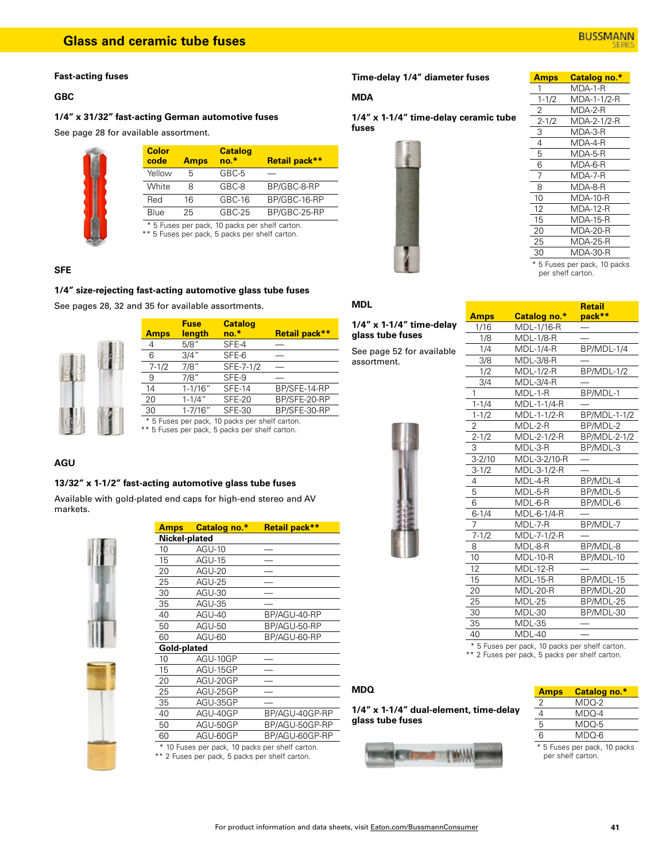#### **Fast-acting fuses**

### **GBC**

## **1/4" x 31/32" fast-acting German automotive fuses**

See page 28 for available assortment.

| <b>Color</b><br>code                                                                             | <b>Amps</b> | <b>Catalog</b><br>$no.*$ | Retail pack** |
|--------------------------------------------------------------------------------------------------|-------------|--------------------------|---------------|
| Yellow                                                                                           | 5           | GBC-5                    |               |
| White                                                                                            | 8           | GBC-8                    | BP/GBC-8-RP   |
| Red                                                                                              | 16          | GBC-16                   | BP/GBC-16-RP  |
| Blue                                                                                             | 25          | $GBC-25$                 | BP/GBC-25-RP  |
| * 5 Fuses per pack, 10 packs per shelf carton.<br>** 5 Fuses per pack, 5 packs per shelf carton. |             |                          |               |

### **SFE**

### **1/4" size-rejecting fast-acting automotive glass tube fuses**

See pages 28, 32 and 35 for available assortments.



|                                                                                                  | Fuse          | <b>Catalog</b> |               |
|--------------------------------------------------------------------------------------------------|---------------|----------------|---------------|
| <b>Amps</b>                                                                                      | <u>length</u> | $no.*$         | Retail pack** |
| 4                                                                                                | 5/8"          | SFE-4          |               |
| 6                                                                                                | 3/4"          | SFE-6          |               |
| $7 - 1/2$                                                                                        | 7/8"          | SFE-7-1/2      |               |
| 9                                                                                                | 7/8"          | SFE-9          |               |
| 14                                                                                               | $1 - 1/16"$   | <b>SFE-14</b>  | BP/SFE-14-RP  |
| 20                                                                                               | $1 - 1/4"$    | <b>SFE-20</b>  | BP/SFE-20-RP  |
| 30                                                                                               | $1 - 7/16"$   | <b>SFE-30</b>  | BP/SFE-30-RP  |
| * 5 Fuses per pack, 10 packs per shelf carton.<br>** 5 Fuses per pack, 5 packs per shelf carton. |               |                |               |

### **AGU**

### **13/32" x 1-1/2" fast-acting automotive glass tube fuses**

Available with gold-plated end caps for high-end stereo and AV markets.



| Amps                                            | Catalog no.*  | Retail pack**  |
|-------------------------------------------------|---------------|----------------|
| Nickel-plated                                   |               |                |
| 10                                              | <b>AGU-10</b> |                |
| 15                                              | <b>AGU-15</b> |                |
| 20                                              | <b>AGU-20</b> |                |
| 25                                              | AGU-25        |                |
| 30                                              | AGU-30        |                |
| 35                                              | AGU-35        |                |
| 40                                              | $AGU-40$      | BP/AGU-40-RP   |
| 50                                              | AGU-50        | BP/AGU-50-RP   |
| 60                                              | AGU-60        | BP/AGU-60-RP   |
| Gold-plated                                     |               |                |
| 10                                              | AGU-10GP      |                |
| 15                                              | AGU-15GP      |                |
| 20                                              | AGU-20GP      |                |
| 25                                              | AGU-25GP      |                |
| 35                                              | AGU-35GP      |                |
| 40                                              | AGU-40GP      | BP/AGU-40GP-RP |
| 50                                              | AGU-50GP      | BP/AGU-50GP-RP |
| 60                                              | AGU-60GP      | BP/AGU-60GP-RP |
| * 10 Fuses per pack, 10 packs per shelf carton. |               |                |

\*\* 2 Fuses per pack, 5 packs per shelf carton.

## **Time-delay 1/4" diameter fuses**

#### **MDA**

**1/4" x 1-1/4" time-delay ceramic tube fuses**



|    | <b>Amps</b> | <b>Catalog no.*</b>        |
|----|-------------|----------------------------|
| 1  |             | MDA-1-R                    |
|    | $1 - 1/2$   | MDA-1-1/2-R                |
| 2  |             | MDA-2-R                    |
|    | $2 - 1/2$   | MDA-2-1/2-R                |
| 3  |             | MDA-3-R                    |
| 4  |             | MDA-4-R                    |
| 5  |             | MDA-5-R                    |
| 6  |             | MDA-6-R                    |
| 7  |             | MDA-7-R                    |
| 8  |             | MDA-8-R                    |
| 10 |             | <b>MDA-10-R</b>            |
| 12 |             | MDA-12-R                   |
| 15 |             | MDA-15-R                   |
| 20 |             | MDA-20-R                   |
| 25 |             | MDA-25-R                   |
| 30 |             | MDA-30-R                   |
|    |             | 5 Fuses per pack, 10 packs |

per shelf carton.

**Retail** 

| 1<br>۷ı |  |
|---------|--|
|         |  |

**1/4" x 1-1/4" time-delay glass tube fuses**

See page 52 for available assortment.



| <b>Amps</b>           | Catalog no.*            | pack**       |
|-----------------------|-------------------------|--------------|
| 1/16                  | MDL-1/16-R              |              |
| 1/8                   | <b>MDL-1/8-R</b>        |              |
| 1/4                   | <b>MDL-1/4-R</b>        | BP/MDL-1/4   |
| 3/8                   | <b>MDL-3/8-R</b>        |              |
| 1/2                   | MDL-1/2-R               | BP/MDL-1/2   |
| 3/4                   | $\overline{M}$ DL-3/4-R |              |
| 1                     | MDL-1-R                 | BP/MDL-1     |
| $1 - 1/4$             | MDL-1-1/4-R             |              |
| $1 - 1/2$             | MDL-1-1/2-R             | BP/MDL-1-1/2 |
| $\overline{c}$        | MDL-2-R                 | BP/MDL-2     |
| $2 - 1/2$             | MDL-2-1/2-R             | BP/MDL-2-1/2 |
| $\overline{3}$        | MDL-3-R                 | BP/MDL-3     |
| $\overline{3} - 2/10$ | MDL-3-2/10-R            |              |
| $3-1/2$               | MDL-3-1/2-R             |              |
| 4                     | MDL-4-R                 | BP/MDL-4     |
| 5                     | MDL-5-R                 | BP/MDL-5     |
| 6                     | MDL-6-R                 | BP/MDL-6     |
| $6 - 1/4$             | MDL-6-1/4-R             |              |
| $\overline{7}$        | MDL-7-R                 | BP/MDL-7     |
| $7 - 1/2$             | MDL-7-1/2-R             |              |
| 8                     | MDL-8-R                 | BP/MDL-8     |
| 10                    | <b>MDL-10-R</b>         | BP/MDL-10    |
| 12                    | MDL-12-R                |              |
| 15                    | <b>MDL-15-R</b>         | BP/MDL-15    |
| 20                    | MDL-20-R                | BP/MDL-20    |
| 25                    | MDL-25                  | BP/MDL-25    |
| 30                    | MDL-30                  | BP/MDL-30    |
| 35                    | MDL-35                  |              |
| 40                    | MDL-40                  |              |
| $*$ $ -$              | $-1.40$<br>وبالمسا      | $L = 10$     |

 \* 5 Fuses per pack, 10 packs per shelf carton. \*\* 2 Fuses per pack, 5 packs per shelf carton.

**MDQ**

### **1/4" x 1-1/4" dual-element, time-delay glass tube fuses**



| <b>Amps</b> | Catalog no.* |
|-------------|--------------|
| 2           | $MDO-2$      |
| 4           | $MDO-4$      |
| 5           | $MDO-5$      |
| 6           | MDQ-6        |
| $ -$        |              |

5 Fuses per pack, 10 packs per shelf carton.

| Aı  |
|-----|
| Nio |
| 10  |
| 15  |
| 20  |
| 25  |
| 30  |
| 35  |
|     |